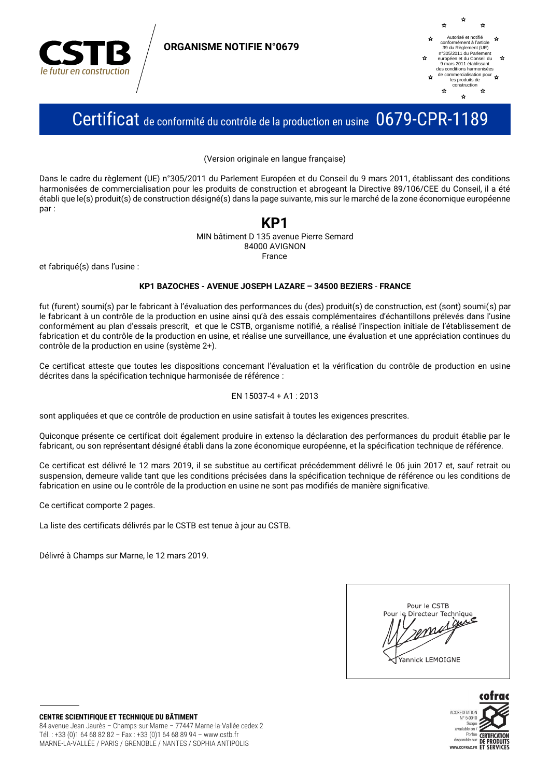

**ORGANISME NOTIFIE N°0679** 



## Certificat de conformité du contrôle de la production en usine 0679-CPR-1189

(Version originale en langue française)

Dans le cadre du règlement (UE) n°305/2011 du Parlement Européen et du Conseil du 9 mars 2011, établissant des conditions harmonisées de commercialisation pour les produits de construction et abrogeant la Directive 89/106/CEE du Conseil, il a été établi que le(s) produit(s) de construction désigné(s) dans la page suivante, mis sur le marché de la zone économique européenne par:

## KP1

MIN bâtiment D 135 avenue Pierre Semard 84000 AVIGNON France

et fabriqué(s) dans l'usine :

#### KP1 BAZOCHES - AVENUE JOSEPH LAZARE - 34500 BEZIERS - FRANCE

fut (furent) soumi(s) par le fabricant à l'évaluation des performances du (des) produit(s) de construction, est (sont) soumi(s) par le fabricant à un contrôle de la production en usine ainsi qu'à des essais complémentaires d'échantillons prélevés dans l'usine conformément au plan d'essais prescrit, et que le CSTB, organisme notifié, a réalisé l'inspection initiale de l'établissement de fabrication et du contrôle de la production en usine, et réalise une surveillance, une évaluation et une appréciation continues du contrôle de la production en usine (système 2+).

Ce certificat atteste que toutes les dispositions concernant l'évaluation et la vérification du contrôle de production en usine décrites dans la spécification technique harmonisée de référence :

#### EN 15037-4 + A1: 2013

sont appliquées et que ce contrôle de production en usine satisfait à toutes les exigences prescrites.

Quiconque présente ce certificat doit également produire in extenso la déclaration des performances du produit établie par le fabricant, ou son représentant désigné établi dans la zone économique européenne, et la spécification technique de référence.

Ce certificat est délivré le 12 mars 2019, il se substitue au certificat précédemment délivré le 06 juin 2017 et, sauf retrait ou suspension, demeure valide tant que les conditions précisées dans la spécification technique de référence ou les conditions de fabrication en usine ou le contrôle de la production en usine ne sont pas modifiés de manière significative.

Ce certificat comporte 2 pages.

La liste des certificats délivrés par le CSTB est tenue à jour au CSTB.

Délivré à Champs sur Marne, le 12 mars 2019.



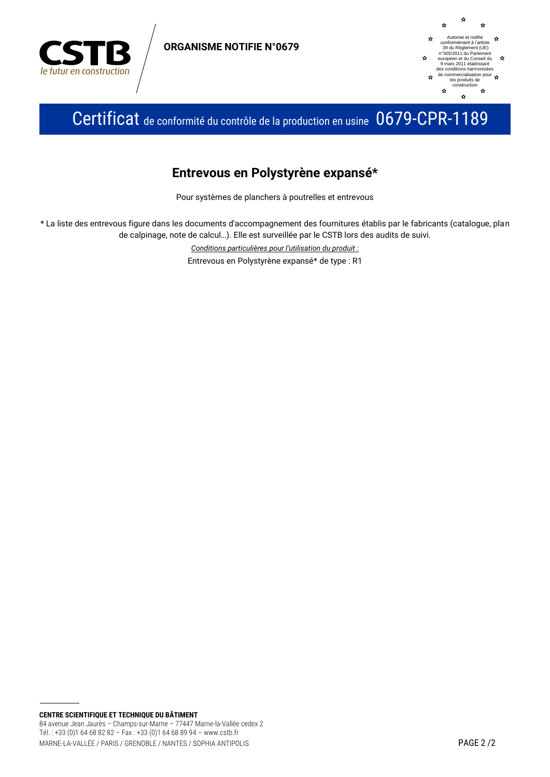

**ORGANISME NOTIFIE N°0679** 



Certificat de conformité du contrôle de la production en usine 0679-CPR-1189

### Entrevous en Polystyrène expansé\*

Pour systèmes de planchers à poutrelles et entrevous

\* La liste des entrevous figure dans les documents d'accompagnement des fournitures établis par le fabricants (catalogue, plan de calpinage, note de calcul...). Elle est surveillée par le CSTB lors des audits de suivi.

> Conditions particulières pour l'utilisation du produit : Entrevous en Polystyrène expansé\* de type : R1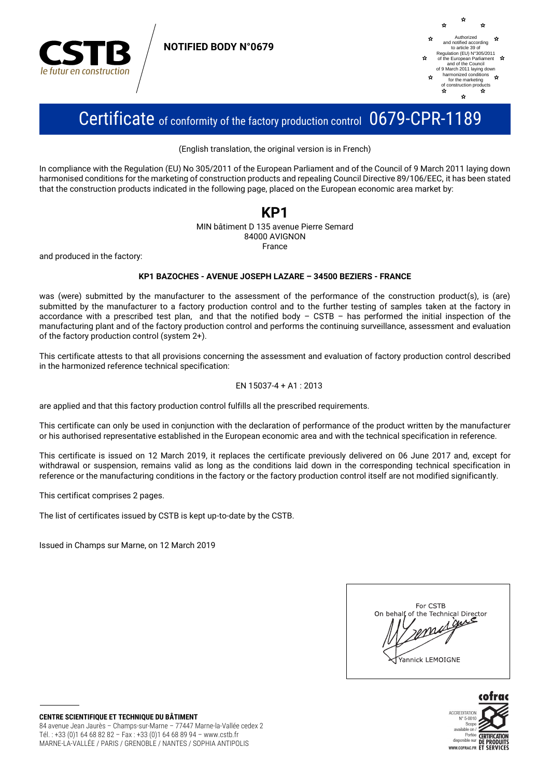

**NOTIFIED BODY N°0679** 



## Certificate of conformity of the factory production control 0679-CPR-1189

(English translation, the original version is in French)

In compliance with the Regulation (EU) No 305/2011 of the European Parliament and of the Council of 9 March 2011 laving down harmonised conditions for the marketing of construction products and repealing Council Directive 89/106/EEC, it has been stated that the construction products indicated in the following page, placed on the European economic area market by:

#### KP1 MIN bâtiment D 135 avenue Pierre Semard 84000 AVIGNON France

and produced in the factory:

#### KP1 BAZOCHES - AVENUE JOSEPH LAZARE - 34500 BEZIERS - FRANCE

was (were) submitted by the manufacturer to the assessment of the performance of the construction product(s), is (are) submitted by the manufacturer to a factory production control and to the further testing of samples taken at the factory in accordance with a prescribed test plan, and that the notified body - CSTB - has performed the initial inspection of the manufacturing plant and of the factory production control and performs the continuing surveillance, assessment and evaluation of the factory production control (system 2+).

This certificate attests to that all provisions concerning the assessment and evaluation of factory production control described in the harmonized reference technical specification:

#### EN 15037-4 + A1: 2013

are applied and that this factory production control fulfills all the prescribed requirements.

This certificate can only be used in conjunction with the declaration of performance of the product written by the manufacturer or his authorised representative established in the European economic area and with the technical specification in reference.

This certificate is issued on 12 March 2019, it replaces the certificate previously delivered on 06 June 2017 and, except for withdrawal or suspension, remains valid as long as the conditions laid down in the corresponding technical specification in reference or the manufacturing conditions in the factory or the factory production control itself are not modified significantly.

This certificat comprises 2 pages.

The list of certificates issued by CSTB is kept up-to-date by the CSTB.

Issued in Champs sur Marne, on 12 March 2019

| For CSTB                                       |
|------------------------------------------------|
| On behalf of the Technical Director<br>$\iint$ |
| U                                              |
| Yannick LEMOIGNE                               |
|                                                |